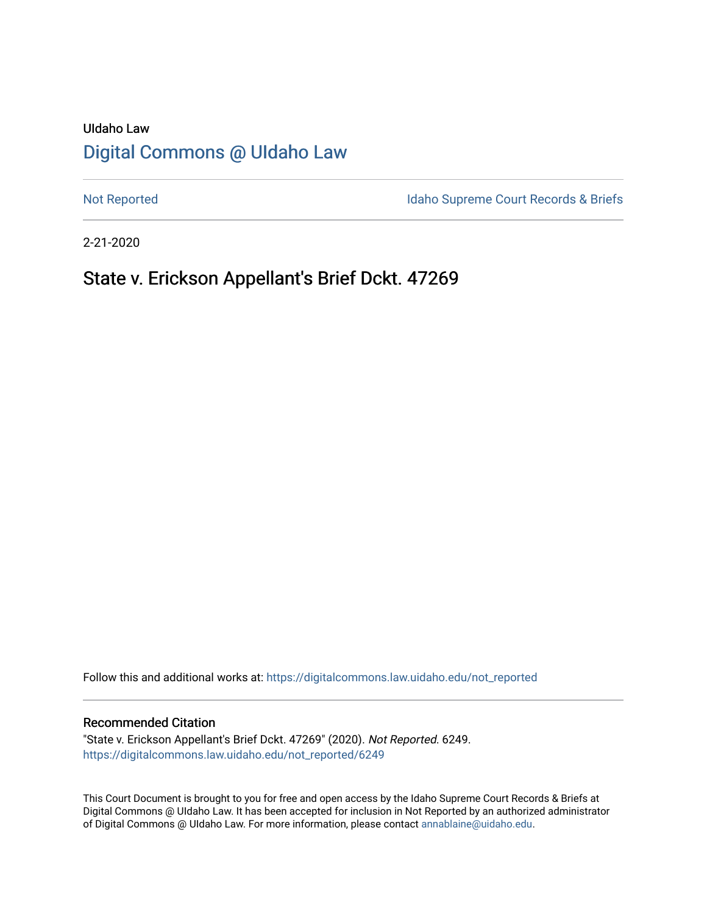# UIdaho Law [Digital Commons @ UIdaho Law](https://digitalcommons.law.uidaho.edu/)

[Not Reported](https://digitalcommons.law.uidaho.edu/not_reported) **Idaho Supreme Court Records & Briefs** 

2-21-2020

## State v. Erickson Appellant's Brief Dckt. 47269

Follow this and additional works at: [https://digitalcommons.law.uidaho.edu/not\\_reported](https://digitalcommons.law.uidaho.edu/not_reported?utm_source=digitalcommons.law.uidaho.edu%2Fnot_reported%2F6249&utm_medium=PDF&utm_campaign=PDFCoverPages) 

#### Recommended Citation

"State v. Erickson Appellant's Brief Dckt. 47269" (2020). Not Reported. 6249. [https://digitalcommons.law.uidaho.edu/not\\_reported/6249](https://digitalcommons.law.uidaho.edu/not_reported/6249?utm_source=digitalcommons.law.uidaho.edu%2Fnot_reported%2F6249&utm_medium=PDF&utm_campaign=PDFCoverPages)

This Court Document is brought to you for free and open access by the Idaho Supreme Court Records & Briefs at Digital Commons @ UIdaho Law. It has been accepted for inclusion in Not Reported by an authorized administrator of Digital Commons @ UIdaho Law. For more information, please contact [annablaine@uidaho.edu](mailto:annablaine@uidaho.edu).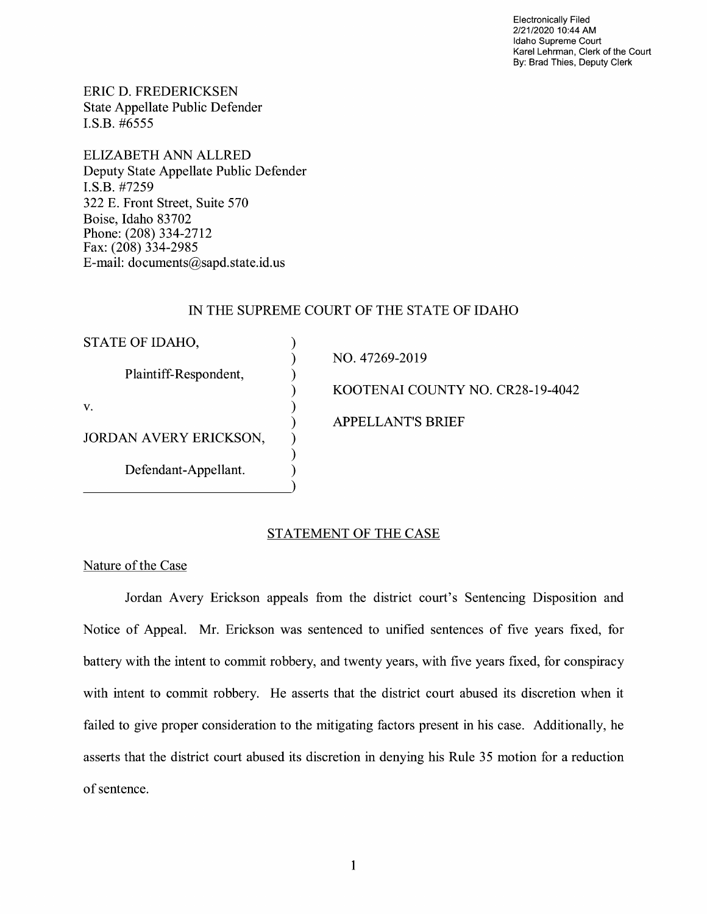Electronically Filed 2/21/2020 10:44 AM Idaho Supreme Court Karel Lehrman, Clerk of the Court By: Brad Thies, Deputy Clerk

ERIC D. FREDERICKSEN State Appellate Public Defender I.S.B. #6555

ELIZABETH ANN ALLRED Deputy State Appellate Public Defender I.S.B. #7259 322 E. Front Street, Suite 570 Boise, Idaho 83702 Phone: (208) 334-2712 Fax: (208) 334-2985 E-mail: documents@sapd.state.id. us

## IN THE SUPREME COURT OF THE STATE OF IDAHO

| STATE OF IDAHO,               |                                  |
|-------------------------------|----------------------------------|
|                               | NO. 47269-2019                   |
| Plaintiff-Respondent,         |                                  |
|                               | KOOTENAI COUNTY NO. CR28-19-4042 |
| V.                            |                                  |
|                               | <b>APPELLANT'S BRIEF</b>         |
| <b>JORDAN AVERY ERICKSON,</b> |                                  |
|                               |                                  |
| Defendant-Appellant.          |                                  |
|                               |                                  |

## STATEMENT OF THE CASE

Nature of the Case

Jordan Avery Erickson appeals from the district court's Sentencing Disposition and Notice of Appeal. Mr. Erickson was sentenced to unified sentences of five years fixed, for battery with the intent to commit robbery, and twenty years, with five years fixed, for conspiracy with intent to commit robbery. He asserts that the district court abused its discretion when it failed to give proper consideration to the mitigating factors present in his case. Additionally, he asserts that the district court abused its discretion in denying his Rule 35 motion for a reduction of sentence.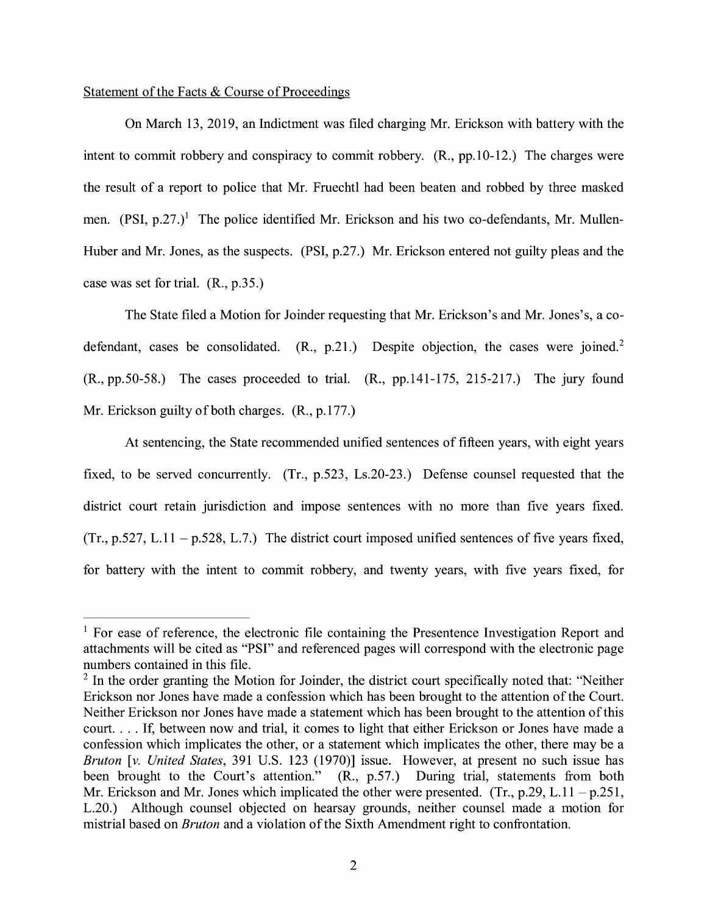## Statement of the Facts & Course of Proceedings

On March 13, 2019, an Indictment was filed charging Mr. Erickson with battery with the intent to commit robbery and conspiracy to commit robbery. (R., pp.10-12.) The charges were the result of a report to police that Mr. Fruechtl had been beaten and robbed by three masked men.  $(PSI, p.27.)$ <sup>1</sup> The police identified Mr. Erickson and his two co-defendants, Mr. Mullen-Huber and Mr. Jones, as the suspects. (PSI, p.27.) Mr. Erickson entered not guilty pleas and the case was set for trial. (R., p.35.)

The State filed a Motion for Joinder requesting that Mr. Erickson's and Mr. Jones's, a codefendant, cases be consolidated.  $(R_1, p_1, 21)$  Despite objection, the cases were joined.<sup>2</sup> (R., pp.50-58.) The cases proceeded to trial. (R., pp.141-175, 215-217.) The jury found Mr. Erickson guilty of both charges. (R., p.177.)

At sentencing, the State recommended unified sentences of fifteen years, with eight years fixed, to be served concurrently. (Tr., p.523, Ls.20-23.) Defense counsel requested that the district court retain jurisdiction and impose sentences with no more than five years fixed.  $(Tr., p.527, L.11 - p.528, L.7.)$  The district court imposed unified sentences of five years fixed, for battery with the intent to commit robbery, and twenty years, with five years fixed, for

 $<sup>1</sup>$  For ease of reference, the electronic file containing the Presentence Investigation Report and</sup> attachments will be cited as "PSI" and referenced pages will correspond with the electronic page numbers contained in this file.

 $2$  In the order granting the Motion for Joinder, the district court specifically noted that: "Neither Erickson nor Jones have made a confession which has been brought to the attention of the Court. Neither Erickson nor Jones have made a statement which has been brought to the attention of this court .... If, between now and trial, it comes to light that either Erickson or Jones have made a confession which implicates the other, or a statement which implicates the other, there may be a *Bruton* [v. *United States,* 391 U.S. 123 (1970)] issue. However, at present no such issue has been brought to the Court's attention." (R., p.57.) During trial, statements from both Mr. Erickson and Mr. Jones which implicated the other were presented. (Tr.,  $p.29$ , L.11 -  $p.251$ , L.20.) Although counsel objected on hearsay grounds, neither counsel made a motion for mistrial based on *Bruton* and a violation of the Sixth Amendment right to confrontation.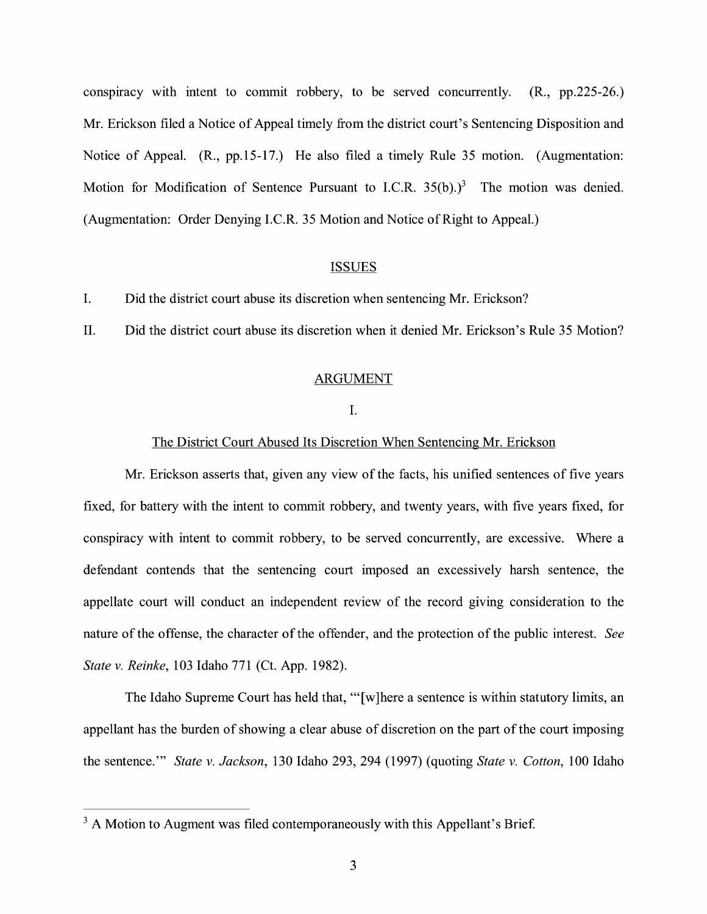conspiracy with intent to commit robbery, to be served concurrently. (R., pp.225-26.) Mr. Erickson filed a Notice of Appeal timely from the district court's Sentencing Disposition and Notice of Appeal. (R., pp.15-17.) He also filed a timely Rule 35 motion. (Augmentation: Motion for Modification of Sentence Pursuant to I.C.R.  $35(b)$ .)<sup>3</sup> The motion was denied. (Augmentation: Order Denying I.C.R. 35 Motion and Notice of Right to Appeal.)

## **ISSUES**

I. Did the district court abuse its discretion when sentencing Mr. Erickson?

II. Did the district court abuse its discretion when it denied Mr. Erickson's Rule 35 Motion?

#### ARGUMENT

## I.

#### The District Court Abused Its Discretion When Sentencing Mr. Erickson

Mr. Erickson asserts that, given any view of the facts, his unified sentences of five years fixed, for battery with the intent to commit robbery, and twenty years, with five years fixed, for conspiracy with intent to commit robbery, to be served concurrently, are excessive. Where a defendant contends that the sentencing court imposed an excessively harsh sentence, the appellate court will conduct an independent review of the record giving consideration to the nature of the offense, the character of the offender, and the protection of the public interest. *See State v. Reinke,* 103 Idaho 771 (Ct. App. 1982).

The Idaho Supreme Court has held that, "'[w]here a sentence is within statutory limits, an appellant has the burden of showing a clear abuse of discretion on the part of the court imposing the sentence."' *State v. Jackson,* 130 Idaho 293, 294 (1997) (quoting *State v. Cotton,* 100 Idaho

 $3A$  Motion to Augment was filed contemporaneously with this Appellant's Brief.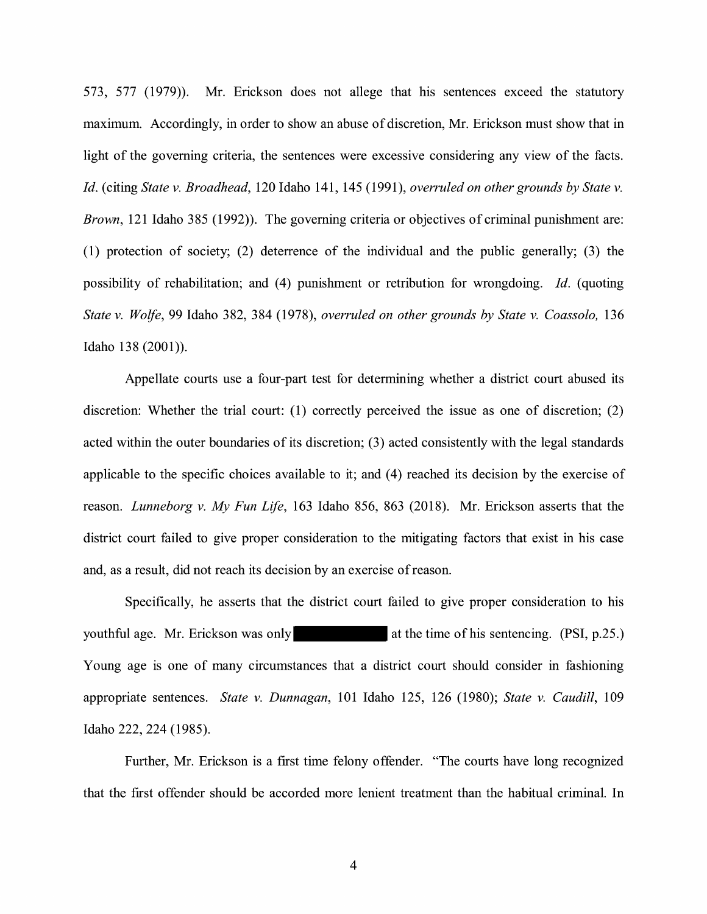573, 577 (1979)). Mr. Erickson does not allege that his sentences exceed the statutory maximum. Accordingly, in order to show an abuse of discretion, Mr. Erickson must show that in light of the governing criteria, the sentences were excessive considering any view of the facts. *Id.* (citing *State v. Broadhead,* 120 Idaho 141, 145 (1991), *overruled on other grounds by State v. Brown,* 121 Idaho 385 (1992)). The governing criteria or objectives of criminal punishment are: (1) protection of society; (2) deterrence of the individual and the public generally; (3) the possibility of rehabilitation; and (4) punishment or retribution for wrongdoing. *Id.* (quoting *State v. Wolfe,* 99 Idaho 382, 384 (1978), *overruled on other grounds by State v. Coassolo,* 136 Idaho 138 (2001)).

Appellate courts use a four-part test for determining whether a district court abused its discretion: Whether the trial court: (1) correctly perceived the issue as one of discretion; (2) acted within the outer boundaries of its discretion; (3) acted consistently with the legal standards applicable to the specific choices available to it; and (4) reached its decision by the exercise of reason. *Lunneborg v. My Fun Life,* 163 Idaho 856, 863 (2018). Mr. Erickson asserts that the district court failed to give proper consideration to the mitigating factors that exist in his case and, as a result, did not reach its decision by an exercise of reason.

Specifically, he asserts that the district court failed to give proper consideration to his youthful age. Mr. Erickson was only at the time of his sentencing. (PSI, p.25.) Young age is one of many circumstances that a district court should consider in fashioning appropriate sentences. *State v. Dunnagan,* 101 Idaho 125, 126 (1980); *State v. Caudill,* 109 Idaho 222, 224 (1985).

Further, Mr. Erickson is a first time felony offender. "The courts have long recognized that the first offender should be accorded more lenient treatment than the habitual criminal. In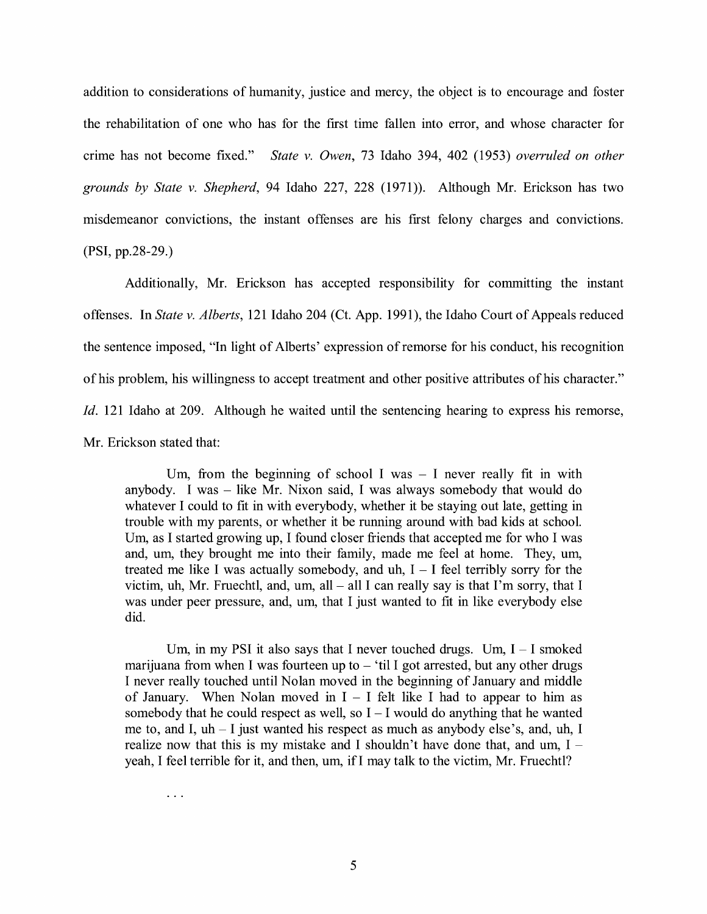addition to considerations of humanity, justice and mercy, the object is to encourage and foster the rehabilitation of one who has for the first time fallen into error, and whose character for crime has not become fixed." *State v. Owen,* 73 Idaho 394, 402 (1953) *overruled on other grounds by State v. Shepherd,* 94 Idaho 227, 228 (1971)). Although Mr. Erickson has two misdemeanor convictions, the instant offenses are his first felony charges and convictions. **(PSI,** pp.28-29.)

Additionally, Mr. Erickson has accepted responsibility for committing the instant offenses. In *State v. Alberts,* 121 Idaho 204 (Ct. App. 1991), the Idaho Court of Appeals reduced the sentence imposed, "In light of Alberts' expression of remorse for his conduct, his recognition of his problem, his willingness to accept treatment and other positive attributes of his character." *Id.* 121 Idaho at 209. Although he waited until the sentencing hearing to express his remorse, Mr. Erickson stated that:

Um, from the beginning of school I was  $-$  I never really fit in with anybody. I was  $-$  like Mr. Nixon said, I was always somebody that would do whatever I could to fit in with everybody, whether it be staying out late, getting in trouble with my parents, or whether it be running around with bad kids at school. Um, as I started growing up, I found closer friends that accepted me for who I was and, um, they brought me into their family, made me feel at home. They, um, treated me like I was actually somebody, and uh,  $I - I$  feel terribly sorry for the victim, uh, Mr. Fruechtl, and, um, all  $-$  all I can really say is that I'm sorry, that I was under peer pressure, and, um, that I just wanted to fit in like everybody else did.

Um, in my PSI it also says that I never touched drugs. Um,  $I - I$  smoked marijuana from when I was fourteen up to  $-$  'til I got arrested, but any other drugs I never really touched until Nolan moved in the beginning of January and middle of January. When Nolan moved in  $I - I$  felt like I had to appear to him as somebody that he could respect as well, so  $I - I$  would do anything that he wanted me to, and I,  $uh - I$  just wanted his respect as much as anybody else's, and,  $uh$ , I realize now that this is my mistake and I shouldn't have done that, and um,  $I$ yeah, I feel terrible for it, and then, um, if I may talk to the victim, Mr. Fruechtl?

 $\ddotsc$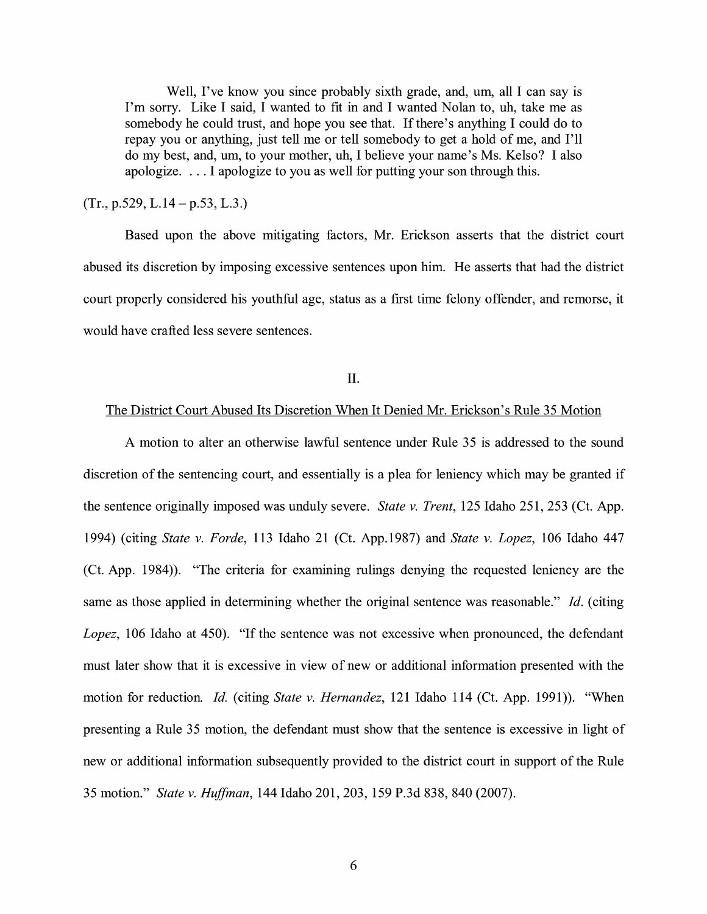Well, I've know you since probably sixth grade, and, um, all I can say is I'm sorry. Like I said, I wanted to fit in and I wanted Nolan to, uh, take me as somebody he could trust, and hope you see that. If there's anything I could do to repay you or anything, just tell me or tell somebody to get a hold of me, and I'll do my best, and, um, to your mother, uh, I believe your name's Ms. Kelso? I also apologize.  $\dots$  I apologize to you as well for putting your son through this.

 $(Tr., p.529, L.14-p.53, L.3.)$ 

Based upon the above mitigating factors, Mr. Erickson asserts that the district court abused its discretion by imposing excessive sentences upon him. He asserts that had the district court properly considered his youthful age, status as a first time felony offender, and remorse, it would have crafted less severe sentences.

II.

#### The District Court Abused Its Discretion When It Denied Mr. Erickson's Rule 35 Motion

A motion to alter an otherwise lawful sentence under Rule 35 is addressed to the sound discretion of the sentencing court, and essentially is a plea for leniency which may be granted if the sentence originally imposed was unduly severe. *State v. Trent,* 125 Idaho 251, 253 (Ct. App. 1994) (citing *State v. Forde,* 113 Idaho 21 (Ct. App.1987) and *State v. Lopez,* 106 Idaho 447 (Ct. App. 1984)). "The criteria for examining rulings denying the requested leniency are the same as those applied in determining whether the original sentence was reasonable." Id. (citing *Lopez,* 106 Idaho at 450). "If the sentence was not excessive when pronounced, the defendant must later show that it is excessive in view of new or additional information presented with the motion for reduction. *Id.* (citing *State v. Hernandez,* 121 Idaho 114 (Ct. App. 1991)). "When presenting a Rule 35 motion, the defendant must show that the sentence is excessive in light of new or additional information subsequently provided to the district court in support of the Rule 35 motion." *State v. Huffman,* 144 Idaho 201, 203, 159 P.3d 838, 840 (2007).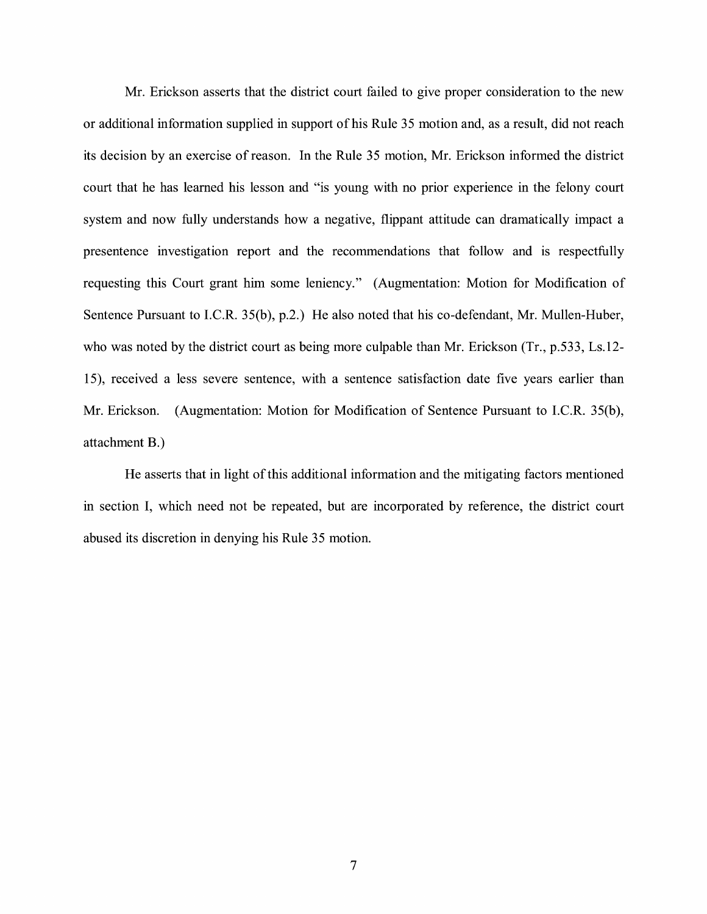Mr. Erickson asserts that the district court failed to give proper consideration to the new or additional information supplied in support of his Rule 35 motion and, as a result, did not reach its decision by an exercise of reason. In the Rule 35 motion, Mr. Erickson informed the district court that he has learned his lesson and "is young with no prior experience in the felony court system and now fully understands how a negative, flippant attitude can dramatically impact a presentence investigation report and the recommendations that follow and is respectfully requesting this Court grant him some leniency." (Augmentation: Motion for Modification of Sentence Pursuant to I.C.R. 35(b), p.2.) He also noted that his co-defendant, Mr. Mullen-Huber, who was noted by the district court as being more culpable than Mr. Erickson (Tr., p.533, Ls.12- 15), received a less severe sentence, with a sentence satisfaction date five years earlier than Mr. Erickson. (Augmentation: Motion for Modification of Sentence Pursuant to I.C.R. 35(b), attachment B.)

He asserts that in light of this additional information and the mitigating factors mentioned in section I, which need not be repeated, but are incorporated by reference, the district court abused its discretion in denying his Rule 35 motion.